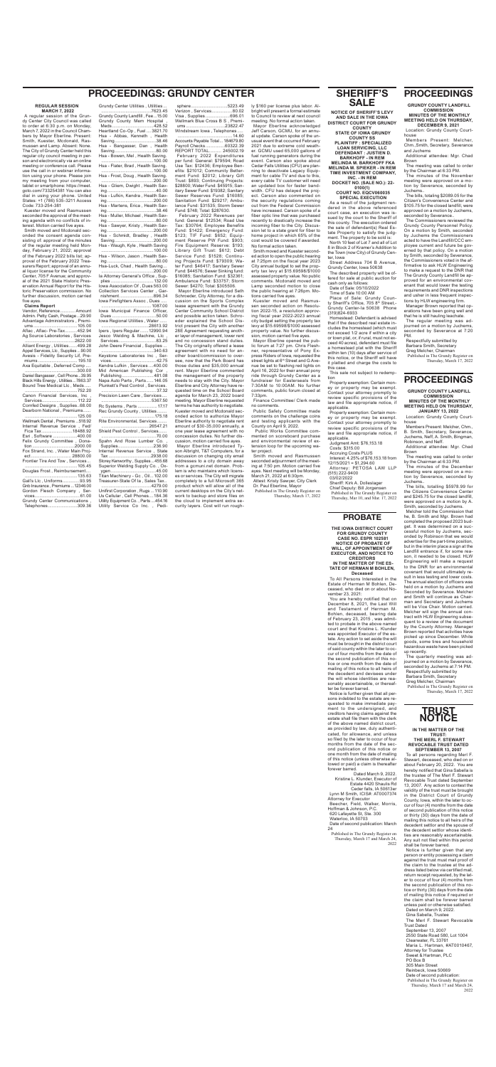## **SHERIFF'S SALE**

**NOTICE OF SHERIFF'S LEVY AND SALE IN THE IOWA DISTRICT COURT FOR GRUNDY COUNTY**

**STATE OF IOWA GRUNDY COUNTY SS PLAINTIFF : SPECIALIZED LOAN SERVICING, LLC DEFENDANT : JUSTIEN D.** 

**BARKHOFF - IN REM MELINDA M. BARKHOFF FKA MELINDA M. SPIEKER - IN REM**

**TIME INVESTMENT COMPANY, INC. - IN REM DOCKET NO. (SALE NO.): 22-**

**0100(1) COURT NO. EQCV060035**

**SPECIAL EXECUTION** As a result of the judgment rendered in the above referenced court case, an execution was issued by the court to the Sheriff of this county. The execution ordered the sale of defendant(s) Real Estate Property to satisfy the judgment. The property to be sold is: North 10 feet of Lot 7 and all of Lot

8 in Block 2 of Kramer's Addition to the Town (now City) of Grundy Center, Iowa Street Address 704 B Avenue,

Grundy Center, Iowa 50638

The described property will be offered for sale at public auction for cash only as follows: Date of Sale: 05/10/2022

Time of Sale 10:00 AM Place of Sale: Grundy Coun-

ty Sheriff's Office, 705 8th Street,- Grundy Center-Ia 50638 Phone (319)824-6933

Homestead: Defendant is advised that if the described real estate includes the homestead (which must not exceed 1/2 acre if within a city or town plat, or, if rural, must not exceed 40 acres), defendant must file a homestead plat with the Sheriff within ten (10) days after service of this notice, or the Sheriff will have it platted and charge the costs to this case. This sale not subject to redemp-

tion Property exemption: Certain money or property may be exempt.

Contact your attorney promptly to review specific provisions of the law and file appropriate notice, if applicable. Property exemption: Certain mon-

Vendor, Reference............ Amount Admin. Petty Cash, Postage...29.90 Advantage Administrators , Premiums ....................................105.00 Aflac , Aflac- Pre-Tax..........452.94 Ag Source Laboratories, Services .........................................2622.00 Alliant Energy , Utilities.......499.28 Appel Services, Llc, Supplies ...90.00 Avesis - Fidelity Security Lif, Premiums ................................ 195.10 Axa Equitable , Deferred Comp .... ...........................................300.00 Daniel Bangasser , Cell Phone...39.95 Black Hills Energy , Utilities...7863.37 Bound Tree Medical Llc , Meds ..... ...........................................752.20 Canon Financial Services, Inc , Services............................. 112.22 Cornfed Designs , Supplies..68.00 Dearborn National , Premiums...... ...........................................125.00 Wellmark Dental , Premiums ...518.92 Internal Revenue Service , Fed/ Fica Tax .........................18488.92 Esri , Software ....................400.00 Felix Grundy Committee , Donation...................................2000.00 Fox Strand, Inc. , Water Main Project ................................. 28800.00 Frontier Tire And Tow , Services... ...........................................105.45 Douglas Frost , Reimbursement.... ...........................................135.63 Gall's Llc , Uniforms..............93.95 Gnb Insurance , Premiums ...12346.00<br>Gordon Flesch Company Ser-Gordon Flesch Company .

ey or property may be exempt. Contact your attorney promptly to review specific provisions of the law and file appropriate notice, if applicable.

Judgment Amt: \$76,153.18 Costs: \$315.00 Accruing Costs PLUS Interest: 4.25% of \$76,153.18 from 12/15/2021 = \$1,294.60

Attorney: PETOSA LAW LLP (515) 222-9400 03/02/2022 Sheriff: Kirk A. Dolleslager

Chief Deputy: Bill Jorgensen Published in The Grundy Register on Thursday, Mar 10, and Mar. 17, 2022

# **PROCEEDINGS: GRUNDY CENTER**

#### **REGULAR SESSION MARCH 7, 2022**

A regular session of the Grundy Center City Council was called to order at 6:30 p.m. on Monday, March 7, 2022 in the Council Chambers by Mayor Eberline. Present: Smith, Kuester, Mcdonald, Rasmussen and Lamp. Absent: None. The City of Grundy Center held this regular city council meeting in person and electronically via an online meeting or conference call. Please use the call in or webinar information using your phone. Please join my meeting from your computer, tablet or smartphone: https://meet. goto.com/733254381 You can also dial in using your phone. United States: +1 (786) 535-3211 Access Code: 733-254-381

Kuester moved and Rasmussen seconded the approval of the meeting agenda with no conflicts of interest. Motion carried five ayes.

Smith moved and Mcdonald seconded the consent agenda consisting of: approval of the minutes of the regular meeting held Monday, February 21, 2022; approval of the February 2022 bills list; approval of the February 2022 Treasurers Report; approval of an annual liquor license for the Community Center, 705 F Avenue; and approval of the 2021 State Historic Preservation Annual Report for the Historic Preservation commission. No further discussion, motion carried five ayes.

#### **Claims Report**

|  |  | .                             |
|--|--|-------------------------------|
|  |  | Grundy Center Communications, |
|  |  | Telephones309.36              |

| DH<br>⊏                                                                     |  |
|-----------------------------------------------------------------------------|--|
| Grundy Center Utilities, Utilities                                          |  |
| Grundy County Landfill, Fee15.00                                            |  |
| Grundy County Mem Hospital<br>Meds428.52                                    |  |
| Heartland Co-Op, Fuel3821.70<br>Hsa - Abbas, Kenneth, Health<br>Saving38.46 |  |
| Hsa - Bangasser, Dan, Health                                                |  |
| Hsa - Bowen, Mel, Health Saving.                                            |  |
|                                                                             |  |
| Hsa - Flater, Brad, Health Saving.                                          |  |
| Hsa - Frost, Doug, Health Saving.                                           |  |
| Hsa - Gliem, Dwight, Health Sav-                                            |  |
| Hsa - Lufkin, Kendra, Health Sav-                                           |  |
| Hsa - Martens, Erica, Health Sav-                                           |  |
| Hsa - Muller, Michael, Health Sav-                                          |  |
| Hsa - Sawyer, Kristy, Health Sav-                                           |  |
| Hsa - Schmidt, Bradley, Health                                              |  |
| Saving200.00                                                                |  |
| Hsa - Waugh, Kyle, Health Saving                                            |  |
| Hsa - Wilson, Jason, Health Sav-                                            |  |
| Hsa-Luck, Chad, Health Saving                                               |  |
| la Attorney General's Office , Sup-                                         |  |
| lowa Association Of, Dues 563.00                                            |  |
| Collection Services Center, Gar-<br>nishment896.34                          |  |
| lowa Firefighters Assoc, Dues                                               |  |
| lowa Municipal Finance Officer,                                             |  |
| Iowa Regional Utilities, Water                                              |  |
| Ipers, Ipers Regular12990.94<br>Jesco Welding & Machine, Llc,               |  |
| Services83.25<br>John Deere Financial, Supplies                             |  |
|                                                                             |  |
| Keystone Laboratories Inc , Ser-                                            |  |
| Kendra Lufkin, Services 400.00<br>Mid American Publishing Cor               |  |
| Napa Auto Parts, Parts 146.05                                               |  |
| Plunkett's Pest Control, Services.                                          |  |
| Precision Lawn Care, Services                                               |  |
|                                                                             |  |
|                                                                             |  |
| Rite Environmental, Services                                                |  |
| Shield Pest Control, Services                                               |  |
| Spahn And Rose Lumber Co.,<br>Supplies236.90                                |  |
| Internal Revenue Service, State                                             |  |
| Storey Kenworthy, Supplies455.68<br>Superior Welding Supply Co., Ox-        |  |
| Titan Machinery - Gc, Oil 102.00                                            |  |
| Treasurer-State Of la, Sales Tax                                            |  |
| Unifirst Corporation, Rugs  110.90<br>Us Cellular, Cell Phones184.36        |  |
| Utility Equipment Co., Parts 454.16                                         |  |
| Utility Service Co Inc., Pedi-                                              |  |
|                                                                             |  |

The bills, totaling \$2089.05 for the Citizen's Convenience Center and \$105.75 for the closed landfill, were approved on a motion by Juchems, seconded by Severance..

Published in The Grundy Register on Thursday, March 17, 2022

| sphere5223.49                    |  |
|----------------------------------|--|
| Verizon, Services80.02           |  |
| Visa, Supplies696.01             |  |
| Wellmark Blue Cross B S . Premi- |  |
|                                  |  |
| Windstream Iowa, Telephones      |  |

.............................................14.60 Accounts Payable Total... 184679.80 Payroll Checks ................60322.39 REPORT TOTAL.......... 245002.19 February 2022 Expenditures per fund: General: \$79594; Road Use Tax: \$12436; Employee Benefits: \$21012; Community Betterment Fund: \$2012; Library Gift Trust: \$893; Continuing Projects: \$28800; Water Fund: \$45915; Sanitary Sewer Fund: \$19382; Sanitary Sewer Reserves Fund: \$16085; Sanitation Fund: \$29217; Ambulance Fund: \$31535; Storm Sewer Fund: \$748; Total: \$287630.

 February 2022 Revenues per fund: General: \$12534; Road Use Tax: \$30764; Employee Benefits Fund: \$1422; Emergency Fund: \$123; TIF Fund: \$652; Equipment Reserve PW Fund: \$903; Fire Equipment Reserve: \$193; Library Gift Trust: \$612; Debt Service Fund: \$1528; Continuing Projects Fund: \$79309; Water Fund: \$46417; Sanitary Sewer Fund: \$44576; Sewer Sinking fund: \$16085; Sanitation Fund: \$32361; Ambulance Fund: \$33757; Storm Sewer: \$4270; Total: \$305506.

 Mayor Eberline introduced Seth Schroeder, City Attorney, for a discussion on the Sports Complex lease agreement with the Grundy Center Community School District and possible action taken. Schroeder explained the School District present the City with another 28E Agreement requesting another layer of management, lower rent and no concession stand duties. The City originally offered a lease agreement with no need for another board/commission to oversee, now that the Park Board has those duties and \$35,000 annual rent. Mayor Eberline commented the management of the property needs to stay with the City. Mayor Eberline and City Attorney have requested time on the School Board agenda for March 23, 2022 board meeting. Mayor Eberline requested terms he has authority to negotiate. Kuester moved and Mcdonald seconded action to authorize Mayor Eberline authority to negotiate rent amount of \$30-35,000 annually, a one year lease agreement with no concession duties. No further discussion, motion carried five ayes. Mayor Eberline introduced Tyson Albright, T&T Computers, for a discussion on changing city email addresses to a city domain away from a gcmuni net domain. Problem is who maintains which licenses or services. The City will migrate completely to a full Microsoft 365 product which will allow all of the current desktops on the City's network to backup and store files on the cloud to implement extra security layers. Cost will run roughly \$160 per license plus labor. Albright will present a formal estimate to Council to review at next council meeting. No formal action taken. Mayor Eberline acknowledged Jeff Carson, GCMU, for an annual update. Carson spoke of the un-

usual event that occurred February 2021 due to extreme cold weather. GCMU used 65,000 gallons of fuel running generators during the event. Carson also spoke about Cedar Falls Utilities (CFU) are planning to deactivate Legacy Equipment for cable TV and due to this, every cable TV customer will need an updated box for faster bandwidth. CFU has delayed the project. Carson also commented on the security regulations coming out from the Federal Commission have increased. Carson spoke of a fiber optic line that was purchased recently to drastically increase the incoming fiber to the City. Discussion let to a state grant for fiber to home project in which 65% of the cost would be covered if awarded. No formal action taken.

Smith moved and Kuester seconded action to open the public hearing at 7:25pm on the fiscal year 2023 City annual budget to set the property tax levy at \$15.69598/\$1000 assessed property value. No public comments. Mcdonald moved and Lamp seconded motion to close the public hearing at 7:26pm. Motions carried five ayes.

Kuester moved and Rasmussen seconded action on Resolution 2022-15, a resolution approving fiscal year 2022-2023 annual city budget setting the property tax levy at \$15.69598/\$1000 assessed property value. No further discussion, motion carried five ayes. Mayor Eberline opened the pub-

lic forum at 7:27 pm. Chris Fleshner, representative of Pony Express Riders of Iowa, requested the street lights at 6<sup>th</sup> Street and G Avenue be set to flashing red lights on April 16, 2022 for their annual pony ride through Grundy Center as a fundraiser for Easterseals from 7:30AM to 10:00AM. No further comments, public forum closed at 7:33pm.

Finance Committee/ Clerk made no comments.

Public Safety Committee made comments on the challenge coins and testing applicants with the County on April 9, 2022. Public Works Committee com-

mented on scoreboard purchase and environmental review of extension loop for the upcoming water project. Smith moved and Rasmussen seconded adjournment of the meeting at 7:50 pm. Motion carried five

ayes. Next meeting will be Monday, March 21, 2022 at 6:30pm. Attest: Kristy Sawyer, City Clerk Dr. Paul Eberline, Mayor

Published in The Grundy Register on Thursday, March 17, 2022

## **PROCEEDINGS**

 **GRUNDY COUNTY LANDFILL COMMISSION** 

**MINUTES OF THE MONTHLY MEETING HELD ON THURSDAY, DECEMBER 9, 2021** 

Location: Grundy County Courthouse

Members Present: Melcher, Chm.,Smith, Secretary, Severance and Juchems

Additional attendee: Mgr. Chad Brown The meeting was called to order

by the Chairman at 6:33 PM.

The minutes of the November meeting were approved on a motion by Severance, seconded by Juchems..

The Commissioners reviewed the Grundy County Personnel Policy. On a motion by Smith, seconded by Juchems the Commissioners acted to have the Landfill/CCC employee current and future be governed by that policy. On a motion by Smith, seconded by Severance the Commissioners voted in the affirmative to ask HLW Engineering to make a request to the DNR that The Grundy County Landfill be approved for an environmental covenant that would lower the testing requirements and DNR inspections and usher in less frequent inspections by HLW engineering firm.

Manager Brown reported that operations have been going well and that he is still hauling leachate.

The regular meeting was adjourned on a motion by Juchems, seconded by Severance at 7:20 PM.

### Respectfully submitted by

Barbara Smith, Secretary Greg Melcher, Chairman

## **PROCEEDINGS**

 **GRUNDY COUNTY LANDFILL COMMISSION** 

#### **MINUTES OF THE MONTHLY MEETING HELD ON THURSDAY, JANUARY 13, 2022**

Location: Grundy County Courthouse

Members Present: Melcher, Chm., B. Smith, Secretary, Severance, Juchems, Neff, A. Smith, Bingman, Robinson, and Neff.

Additional attendee: Mgr. Chad Brown

The meeting was called to order by the Chairman at 6:33 PM. The minutes of the December

meeting were approved on a motion by Severance, seconded by Juchems..

The bills, totalling \$5978.99 for the Citizens Convenience Center and \$245.75 for the closed landfill, were approved on a motion by A. Smith, seconded by Juchems.

Melcher told the Commission that he, B. Smith and Mgr. Brown had completed the proposed 2023 budget. It was determined on a successful motion by Juchems, seconded by Robinson that we would advertise for the part-time position, but in the interim place a sign at the Landfill entrance if, for some reason, it needed to be closed. HLW Engineering will make a request to the DNR for an environmental covenant that would ultimately result in less testing and lower costs. The annual election of officers was held on a motion by Juchems and Seconded by Severance. Melcher and Smith will continue as Chairman and Secretary and Juchems will be Vice Chair. Motion carried. Melcher will sign the annual contract with HLW Engineering subsequent to a review of the document by the County Attorney. Manager Brown reported that activities have picked up since December. White goods, some tires and household hazardous waste have been picked up recently. The quarterly meeting was adjourned on a motion by Severance, seconded by Juchems at 7:14 PM. Respectfully submitted by Barbara Smith, Secretary Greg Melcher, Chairman Published in The Grundy Register on Thursday, March 17, 2022

### **PROBATE**

**THE IOWA DISTRICT COURT FOR GRUNDY COUNTY CASE NO. ESPR 102581 NOTICE OF PROBATE OF WILL, OF APPOINTMENT OF EXECUTOR, AND NOTICE TO CREDITORS**

#### **IN THE MATTER OF THE ES-TATE OF HERMAN M BOHLEN, Deceased**

To All Persons Interested in the Estate of Herman M Bohlen, Deceased, who died on or about November 23, 2021:

You are hereby notified that on December 8, 2021, the Last Will and Testament of Herman M. Bohlen, deceased, bearing date of February 23, 2015 , was admitted to probate in the above named court and that Kristine L. Klunder was appointed Executor of the estate. Any action to set aside the will must be brought in the district court of said county within the later to occur of four months from the date of the second publication of this notice or one month from the date of mailing of this notice to all heirs of the decedent and devisees under the will whose identities are reasonably ascertainable, or thereafter be forever barred.

Notice is further given that all persons indebted to the estate are requested to make immediate payment to the undersigned, and creditors having claims against the estate shall file them with the clerk of the above named district court, as provided by law, duly authenticated, for allowance, and unless so filed by the later to occur of four months from the date of the second publication of this notice or one month from the date of mailing of this notice (unless otherwise allowed or paid) a claim is thereafter forever barred.

Dated March 9, 2022. Kristine L. Klunder, Executor of Estate 4420 Shaulis Rd Ceder falls, IA 50613er Lynn M Smith, ICIS#: AT0007374 Attorney for Executor Beecher, Field, Walker, Morris, Hoffman & Johnson, P.C. 620 Lafayette St, Ste. 300 Waterloo, IA 50703 Date of second publication: March 24

Published in The Grundy Register on Thursday, March 17 and March 24, 2022

### **TRUST NOTICE**

**IN THE MATTER OF THE TRUST: THE MERL F. STEWART REVOCABLE TRUST DATED** 

**SEPTEMBER 13, 2007**  To all persons regarding Merl F. Stewart, deceased, who died on or about February 20, 2022. You are hereby notified that Gina Sabella is the trustee of The Merl F. Stewart Revocable Trust dated September 13, 2007. Any action to contest the validity of the trust must be brought in the District Court of Grundy County, Iowa, within the later to occur of four (4) months from the date of second publication of this notice or thirty (30) days from the date of mailing this notice to all heirs of the decedent settlor and the spouse of the decedent settlor whose identities are reasonably ascertainable. Any suit not filed within this period shall be forever barred.

Notice is further given that any person or entity possessing a claim against the trust must mail proof of the claim to the trustee at the address listed below via certified mail, return receipt requested, by the later to occur of four (4) months from the second publication of this notice or thirty (30) days from the date of mailing this notice if required or the claim shall be forever barred unless paid or otherwise satisfied. Dated on March 9, 2022. Gina Sabella, Trustee The Merl F. Stewart Revocable Trust Dated September 13, 2007 2550 State Road 580, Lot 1004 Clearwater, FL 33761

Maria L. Hartman, #AT0010467, Attorney for Trustee Sweet & Hartman, PLC PO Box B 305 Main Street Reinbeck, Iowa 50669 Date of second publication: Published in The Grundy Register on Thursday, March 17 and March 24, 2022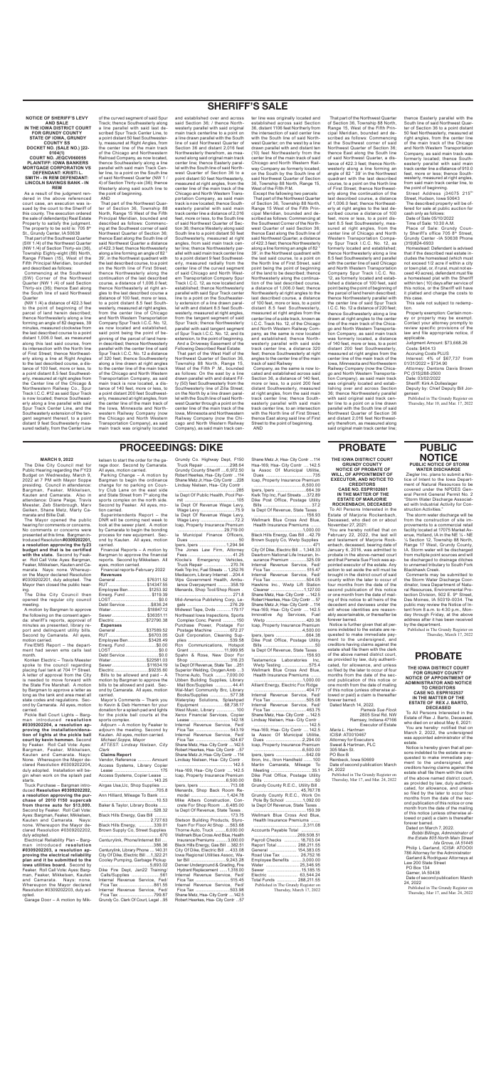## **SHERIFF'S SALE**

**NOTICE OF SHERIFF'S LEVY AND SALE IN THE IOWA DISTRICT COURT FOR GRUNDY COUNTY STATE OF IOWA, GRUNDY COUNTY SS DOCKET NO. (SALE NO.) ]22- 0104(1) COURT NO. JEQCV060055 PLAINTIFF: IOWA BANKERS MORTGAGE CORPORATION VS DEFENDANT: KRISTI L. SMITH - IN REM DEFENDANT: LINCOLN SAVINGS BANK - IN REM**

Commencing at the Southwest (SW) Corner of the Northwest Quarter (NW 1 /4) of said Section Thirty-six (36); thence East along the South line of said Northwest **Quarter** 

As a result of the judgment rendered in the above referenced court case, an execution was issued by the court to the Sheriff of this county. The execution ordered the sale of defendant(s) Real Estate Property to satisfy the judgment.<br>The property to be sold is: 705 8<sup>th</sup> St., Grundy Center, IA 50638

(NW 1 /4) a distance of 422.3 feet to the point of beginning of the parcel of land herein described; thence Northwesterly along a line forming an angle of 82 degrees, 39 minutes, measured clockwise from the last described course to a point distant 1,006.0 feet, as measured along this last said course, from its intersection with the North line of First Street; thence Northeasterly along a line at Right Angles to the last described course, a distance of 100 feet, more or less, to a point distant 8.5 feet Southwesterly, measured at right angles from the Center line of the Chicago & Northwestern Railway Co., Spur Track I.C.C. #12 as said Spur Track is now located; thence Southeasterly along a line parallel with said Spur Track Center Line, and the Southeasterly extension of the tangent segment thereof, to a point distant 9 feet Southwesterly measured radially, from the Center Line

That part of the Southwest Quarter (SW 1 /4) of the Northwest Quarter (NW 1 /4) of Section Thirty-six (36), Township Eighty-eight (88) North, Range Fifteen (15), West of the Fifth Principal Meridian, bounded and described as follows:

of the curved segment of said Spur Track; thence Southeasterly along a line parallel with said last described Spur Track Center Line, to a point distant 50 feet Southwesterly, measured at Right Angles, from the center line of the main track of the Chicago and Northwestern Railroad Company, as now located, thence Southeasterly along a line parallel with said main Track Center line, to a point on the South line of said Northwest Quarter (NW 1 / 4) of Section Thirty-six (36); thence Westerly along said south line to the point of beginning.

AND That part of the Northwest Quarter of Section 36, Township 88 North, Range 15 West of the Fifth Principal Meridian, bounded and described as follows: Commencing at the Southwest corner of said Northwest Quarter of Section 36; thence East along the South line of said Northwest Quarter a distance of 422.3 feet; thence Northwesterly along a line forming an angle of 82 ° 39', in the Northwest quadrant with the last described course, to a point on the North line of First Street; thence Northwesterly along the continuation of the last described course, a distance of 1,006.0 feet; thence Northeasterly at right angles to the last described course a distance of 100 feet, more or less, to a point distant 8.5 feet Southwesterly, measured at right angles. from the center line of Chicago and North Western Transportation Company Spur Track I.C.C. No. 12, as now located and established, said point being the point of beginning of the parcel of land herein described; thence Northwesterly parallel with the center line of said .<br>Spur Track I.C.C. No. 12 a distance. of 320 feet; thence Southwesterly along a line drawn at right angles to the center line of the main track of the Chicago and North Western Transportation Company, as said main track is now located, a distance of 140 feet, more or less, to a point distant 200 feet Southwesterly, measured at right angles, from the center line of the main track of the Iowa, Minnesota and Northwestern Railway Company (now the Chicago and North Western Transportation Company), as said main track was originally located and established over and across said Section 36; / thence Northwesterly parallel with said original main track centerline to a point on a line drawn parallel with the South line of said Northwest Quarter of Section 36 and distant 2,016 feet Northwesterly therefrom, as measured along said original main track center line; thence Easterly parallel with the South line of said Northwest Quarter of Section 36 to a point distant 50 feet Northeasterly, measured at right angles, from the center line of the main track of the Chicago and North Western Transportation Company, as said main track is now located; thence Southeasterly parallel with said main track center line a distance of 2,016 feet, more or less, to the South line of said Northwest Quarter of Section 36; thence Westerly along said South line to a point distant 50 feet Southwesterly, measured at right angles, from said main track center line; thence Northwesterly parallel with said main track center line to a point distant 9 feet Southwesterly, measured radially from the center line of the curved segment of said Chicago and North Western Transportation Company Spur Track I.C.C. 12, as now located and established; thence Northwesterly parallel with said Spur Track center line to a point on the Southeasterly extension of a line drawn parallel with and distant 8.5 feet Southwesterly, measured at right angles, from the tangent segment of said Spur Track; thence Northwesterly parallel with said tangent segment of Spur Track I.C.C. No. 12, and its extension, to the point of beginning. And a Driveway Easement of the Following Described Real Estate: That part of the West Half of the Northwest Quarter of Section 36, Township 88 North, Range 15, West of the Fifth P .M., bounded as follows: On the east by a line drawn parallel with and distant Fifty (50) feet Southwesterly from the Southwesterly line of Zilla Street; on the North by a line drawn parallel with the South line of said Northwest Quarter through a point on the center line of the main track of the Iowa, Minnesota and Northwestern Railway Company (now the Chicago and North Western Railway Company), as said main track cen-

Street Address j34075 215th Street, Hudson, Iowa 50643

Property exemption: Certain money or property may be exempt. Contact your attorney promptly to review specific provisions of the law and file appropriate notice, if applicable

ter line was originally located and established across said Section 36, distant 1106 feet Northerly from the intersection of said center line with the South line of said Northwest Quarter; on the west by a line drawn parallel with and distant ten (10) feet Northeasterly from the center line of the main track of said Chicago and North Western Railway Company as formerly located; on the South by the South line of said Northwest Quarter of Section 36, Township 88 North, Range 15, West of the Fifth P.M.

Except the fallowing two parcels: That part of the Northwest Quarter of Section 36, Township 88 North Range 15 West of the Fifth Principal Meridian, bounded and described as follows: Commencing at the Southwest Corner of the Northwest Quarter of said Section 36; thence East along the South line of said Northwest Quarter, a distance of 422.3 feet; thence Northwesterly along a line forming an angle of 82 39', in the Northwest quadrant with the last said course, to a point on the North line of First Street, said point being the point of beginning of the land to be described; thence Northwesterly along the continuation of the last described course, a distance of 1,006.0 feet; thence Northeasterly at right angles to the last described course, a distance of 100 feet, more or less, to a point distant 8.5 feet Southwesterly, measured at right angles from the center line of a side track, known as I.C.C. Track No. 12, of the Chicago and North Western Railway Company, as the same is now located and established; thence Northwesterly parallel with said side track center line, a distance 320 feet; thence Southwesterly at right angles to the center line of the main track of said Railway

Company, as the same is now located and established across said Section 36, a distance of 140 feet, more or less, to a point 200 feet distant Southwesterly, measured at right angles, from the said main track center line; thence Southeasterly parallel with said main track center line, to an intersection with the North line of First Street; thence East along said line of First Street to the point of beginning. AND

That part of the Northwest Quarter of Section 36, Township 88 North, Range 15, West of the Fifth Prin-

Fees .................................... 41.25 Emergency Truck Repair ..................... 270.74 Kwik Trip Inc, Fuel Streets ...1,252.76 Mediacom, Library Internet ...204.4 Wps Government Health, Ambulance Overpayment .......... 358.19 Menards, Shop Tool/Shop Room . ............................................. 271.8 Mid-America Publishing Corp, Legals ...................................276.29 Midwest Tape, Dvds ............179.17 Northeast Iowa Inspections, Sports Complex Conc. Permit ...........150 Purchase Power, Postage For Postage Machine .............672.27 Quill Corporation, Cleaning Supplies ..................................539.58 Rcn Communications, Grant ............................11,999.95 Spahn & Rose, New Door For Shop .................................316.23 Ia Dept Of Revenue, State Tax ...251 Superior Welding, Oxygen Amb ... 3 Thorne Auto, Truck .........7,000.00 Ubben Building Supplies, Library Mail Box/Supplies ..............44.41 Wal-Mart Community Brc, Library Books/Supplies ................ 577.38 Waterplay Solutions, Splashpad Equipment ................... 68,738.17 West Music, Library ................100 Xerox Financial Services, Copier Lease ................................ 142.18 Internal Revenue Service, Fed/ Fica Tax ............................ 543.19 Internal Revenue Service, Fed/ Fica Tax ............................524.67 Shane Metz, Hsa- City Contr ....142.5 Robert Heerkes, Hsa- City Contr ...57 Shane Metz Jr, Hsa- City Contr ... 114 Lindsay Nielsen, Hsa- City Contr . .............................................142.5 Hsa-169, Hsa- City Contr ....142.5 Icap, Property Insurance Premium ........................................6,500.00 Ipers, Ipers ......................... 713.08 Menards, Shop Back Room Remodel ............................. 1,424.78 Mike Albers Construction, Concrete For Shop Room ....6,485.00 Ia Dept Of Revenue, State Taxes ........................................... 173.75 Stetson Building Products, Styrofoam For Floor At Shop ....563.68 Thorne Auto, Truck .........6,000.00 Wellmark Blue Cross And Blue, Health Insurance Premiums ...........3,000.00 Black Hills Energy, Gas Bill ...382.51 City Of Dike, Electric Bill ....433.08 Iowa Regional Utilities Assoc, Water Bill .............................9,243.28 Denver Underground & Grading, Fire Hydrant Replacement ....... 1,318.00

cipal Meridian, bounded and described as follows: Commencing at the Southwest corner of said Northwest Quarter of Section 36; thence East along the South line of said Northwest Quarter, a distance of 422.3 feet; thence Northwesterly along a line forming an angle of 82 ° 39' in the Northwest quadrant with the last described course, to a point on the North line of First Street; thence Northwesterly along the continuation of the last described course, a distance of 1,006.0 feet; thence Northeasterly at right angles to the last described course a distance of 100 feet, more or less, to a point distant 8.5 feet Southwesterly, measured at right angles, from the center line of Chicago and North Western Transportation Company Spur Track I.C.C. No. 12, as formerly located and established; thence Northwesterly along a line 8.5 feet Southwesterly and parallel with the center line of said Chicago and North Western Transportation Company Spur Track I.C.C. No. 12, as formerly located and established a distance of 100 feet, said point being the point of beginning of the parcel of land herein described; thence Northwesterly parallel with the center line of said Spur Track I.C.C. No. 12 a distance of 220 feet; thence Southwesterly along a line drawn at right angles to the center line of the main track of the Chicago and North Western Transportation Company, as said main track was formerly located, a distance of 140 feet, more or less, to a point distant 200 feet Southwesterly, measured at right angles from the center line of the main track of the Iowa, Minnesota and Northwestern Railway Company (now the Chicago and North Western Transportation Company). as said main track was originally located and establishing over and across Section 36; thence Northwesterly parallel with said original said track center line to a point on a line drawn parallel with the South line of said Northwest Quarter of Section 36 and distant 2,016 feet Northwesterly therefrom, as measured along said original main track center line;

thence Easterly parallel with the South line of said Northwest Quarter of Section 36 to a point distant 50 feet Northeasterly, measured at right angles, from the center line of the main track of the Chicago and North Western Transportation Company, as said main track was formerly located; thence Southeasterly parallel with said main track center line a dfatance of 910.0 feet, more or less; thence Southwesterly, measured at right angles, from said main track center line, to the point of beginning.

Shane Metz Jr, Hsa- City Contr ... 114<br>Hsa-169, Hsa- City Contr .... 142.5 Hsa-169, Hsa- City Contr ... Ia Assoc Of Municipal Utilitie, Dues ......................................735 Icap, Property Insurance Premium ........................................6,500.00 Ipers, Ipers .........................664.39 Kwik Trip Inc, Fuel Streets ....372.89 Dike Post Office, Postage Utility Bills ....................................... 37.2 Ia Dept Of Revenue, State Taxes . ...........................................156.93

The described property will be offered for sale at public auction for cash only as follows: Date of Sale 05/10/2022

Time of Sale: 10:30 A.M.

Place of Sale: Grundy County Sheriff's office 705 8<sup>th</sup> Street. Grundy Center -IA 50638 Phone (319)824-6933

Homestead: Defendant is advised that if the described real estate includes the homestead (which must not exceed 1/2 acre if within a city or town plat, or, if rural, must not exceed 40 acres), defendant must file a homestead plat with the Sheriff within ten ( 10) days after service of this notice, or the Sheriff will have it platted and charge the costs to this case.

This sale not subject to redemption.

Judgment Amount: \$73,668.26 Costs: \$404.13

Accruing Costs PLUS

Interest: 4% of \$67,737 from 01/31/2022 = \$734.90

Attorney: Dentons Davis Brown PC (515)288-2500

Date: 03/02/2022

Sheriff: Kirk A Dolleslager

Deputy by: Chief Deputy Bill Jorgensen

Published in The Grundy Register on Thursday, Mar 10, and Mar. 17, 2022

**PROCEEDINGS: DIKE**

#### **MARCH 9, 2022**

The Dike City Council met for Public Hearing regarding the FY23 Budget on Wednesday, March 9, 2022 at 7 PM with Mayor Soppe presiding. Council in attendance: Bargman, Feaker, Mikkelsen, Kauten and Camarata. Also in attendance: Diane Paige, Travis Meester, Zeb Stanbrough, Marv Geiken, Shane Metz, Marty Camarata and Billie Dall.

The Mayor opened the public hearing for comments or concerns. No comments or concerns were presented at this time. Bargman introduced Resolution **#0309202201, a resolution approving the fy23 budget and that is be certified with the state.** Second by Feaker. Roll Call Vote: Ayes: Bargman,

Feaker, Mikkelsen, Kauten and Camarata. Nays: none. Whereupon the Mayor declared Resolution #0309202201, duly adopted. The Mayor then closed the public hearing.

The Dike City Council then opened the regular city council meeting.

A motion by Bargman to approve the following on the consent agenda: sheriff's reports, approval of minutes as presented, library report and delinquent utility bills. Second by Camarata. All ayes, motion carried.

**WATER DISCHARGE** Ziegler Inc. plans to submit a Notice of Intent to the Iowa Department of Natural Resources to be covered under the NPDES General Permit General Permit No. 2 "Storm Water Discharge Associated with Industrial Activity for Con-

Fire/EMS Report – the department had seven ems calls last month.

Konken Electric – Travis Meester spoke to the council regarding<br>placing fuel tank at 704 1<sup>st</sup> Street. A letter of approval from the City is needed to move forward with the State Fire Marshall. A motion by Bargman to approve a letter as long as the tank and area meet all state codes and regulations. Second by Camarata. All ayes, motion carried.

Pickle Ball Court Lights – Bargman introduced **resolution #0309202204, a resolution approving the installation/donation of lights at the pickle ball court by kevin hemmen.** Second<br>by Feaker. Roll Call Vote: Ayes: Bargman, Feaker, Mikkelsen, Kauten and Camarata. Nays: None. Whereupon the Mayor declared Resolution #0309202204, duly adopted. Installation will begin when work on the splash pad starts.

**DECEASED**<br>To All Persons Interested in the Estate of Rex J. Barto, Deceased, who died on or about May 6, 2021: You are hereby· notified that on March 2, 2022, the undersigned was appointed administrator of the estate.

Truck Purchase – Bargman introduced **Resolution #0309202202, a resolution approving the purchase of 2010 f150 supercab from thorne auto for \$13,000.** Second by Feaker. Roll Call Vote: Ayes: Bargman, Feaker, Mikkelsen, Kauten and Camarata. Nays: none. Whereupon the Mayor declared Resolution #0309202202, duly adopted.

Electrical Reliability Plan – Bargman introduced **resolution #0309202203, a resolution approving the electrical reliability plan and it be submitted to the iowa utilities board.** Second by Feaker. Roll Call Vote: Ayes: Bargman, Feaker, Mikkelsen, Kauten and Camarata. Nays: none. Whereupon the Mayor declared Resolution #0309202203, duly adopted.

Garage Door – A motion by Mik-

kelsen to start the order for the garage door. Second by Camarata. All ayes, motion carried.

Parking Change – A motion by Bargman to begin the ordinance change for no parking on Country Club Lane on the east side and State Street from 7<sup>th</sup> along the sports complex on the north side. Second by Feaker. All ayes, motion carried.

Superintendents Report – the DNR will be coming next week to look at the sewer plant. A motion by Camarata to begin the bonding process for new equipment. Second by Kauten. All ayes, motion carried.

Financial Reports – A motion by Bargman to approve the financial reports. Second by Mikkelsen. All

ayes, motion carried. Financial reports-February 2022

| Revenues              |  |
|-----------------------|--|
| General  \$76311.52   |  |
| RUT\$14347.55         |  |
| Employee Ben\$1253.92 |  |
| Emerg. Fund  \$119.39 |  |
|                       |  |
| Debt Service \$836.24 |  |
| Water\$18847.12       |  |
| Sewer \$36351.11      |  |
| Electric \$72790.38   |  |
|                       |  |
| <b>Expenses</b>       |  |
| General \$37589.52    |  |
| RUT\$6703.05          |  |
| Employee Ben\$3428.49 |  |
| Emerg. Fund \$0.00    |  |
|                       |  |
| Debt Service \$0.0    |  |
| Water\$22581.03       |  |
| Sewer \$11634.19      |  |
| Electric \$9235.60    |  |

Bills to be allowed and paid – A motion by Bargman to approve the bills to be allowed and paid. Second by Camarata. All ayes, motion carried.

Mayor's Comments – Thank you to Kevin & Deb Hemmen for your donation for a splash pad and lights for the pickle ball courts at the sports complex. Adjourn – A motion by Feaker to adjourn the meeting. Second by

Kauten. All ayes, motion carried. *Michael Soppe, Mayor*

*ATTEST: Lindsay Nielsen, City Clerk*

### **Claims Report**

| Vendor, Reference  Amount<br>Access Systems, Library Copier<br>Access Systems, Copier Lease |
|---------------------------------------------------------------------------------------------|
| Airgas Usa, Llc, Shop Supplies                                                              |
| Ann Hilliard, Mileage To Bank                                                               |
| Baker & Taylor, Library Books                                                               |
|                                                                                             |
| Black Hills Energy, Gas Bill                                                                |
| Black Hills Energy, 339.01                                                                  |
| Brown Supply Co, Street Supplies                                                            |
| Centurylink, Phone/Internet Bill                                                            |
| Centurylink, Library Phone  140.31                                                          |
| City Of Dike, Electric Bill  1,322.21                                                       |
| Cooley Pumping, Garbage Pickup                                                              |
|                                                                                             |
| Dike Fire Dept, Jan22 Training/<br>Calls/Supplies 561                                       |
| Internal Revenue Service, Fed/                                                              |
| Fica Tax 861.55                                                                             |
| Internal Revenue Service, Fed/                                                              |
| Fica Tax 799.87                                                                             |
| Grundy Co. Clerk Of Court, Legal 95                                                         |

Grundy Co. Highway Dept, F150 Truck Repair .....................298.64 Grundy County Sheriff ....6,972.50 Robert Heerkes, Hsa- City Contr ...114 Shane Metz Jr, Hsa- City Contr ...228 Lindsay Nielsen, Hsa- City Contr . ................................................285 Ia Dept Of Public Health, Pool Permit ..........................................105 Ia Dept Of Revenue Wage Levy, Wage Levy ............................75.9 Ia Dept Of Revenue Wage Levy, Wage Levy ............................72.2 Icap, Property Insurance Premium ...29.719.00 Ia Municipal Finance Officers, Dues ........................................50 Ipers, lpers The Jones Law Firm, Attorney

Internal Revenue Service, Fed/ Fica Tax ............................ 515.45 Internal Revenue Service, Fed/ Fica Tax ............................503.98 Shane Metz, Hsa- City Contr ....142.5 Robert Heerkes, Hsa- City Contr ...57

Wellmark Blue Cross And Blue, Health Insurance Premiums ....... ........................................1,000.00

Black Hills Energy, Gas Bill ...42.79 Brown Supply Co, Wwtp Supplies ................................................ 471 City Of Dike, Electric Bill ... 1,348.33 Dearborn National Life Insuran, Insurance Premium .............325.09

Internal Revenue Service, Fed/ Fica Tax ............................ 515.47 Internal Revenue Service, Fed/ Fica Tax ............................504.05 Hawkins Inc., Wwtp Lift Station Cleaner ...........................1,127.00 Shane Metz, Hsa- City Contr ....142.5 Robert Heerkes, Hsa- City Contr ... 57 Shane Metz Jr, Hsa- City Contr ... 114 Hsa-169, Hsa- City Contr ....142.5 Innovative Ag Services, Fuel Wwtp .................................420.36 Icap, Property Insurance Premium ........................................4,500.00 Ipers, Ipers .........................664.38 Dike Post Office, Postage Utility Bills ..........................................50 Ia Dept Of Revenue, State Taxes . ...........................................156.93 Testamerica Laboratories Inc, Wwtp Testing ......................575.4 Wellmark Blue Cross And Blue, Health Insurance Premiums ....... ........................................1,000.00 Alliant Energy, Electric Fox Ridge ...........................................404.77 Internal Revenue Service, Fed/ Fica Tax ............................505.08 Internal Revenue Service, Fed/ Fica Tax ............................463.75 Shane Metz, Hsa- City Contr ....142.5 Lindsay Nielsen, Hsa- City Contr . .............................................142.5 Hsa-169, Hsa- City Contr ....142.5 Ia Assoc Of Municipal Utilitie, Dues ..............................2,294.00 Icap, Property Insurance Premium ........................................6,500.00 Ipers, Ipers .........................642.09 Itron, Inc., Itron Handheld .......100 Martin Camarata, Mileage To Meeting ................................. 35.1 Dike Post Office, Postage Utility Bills ..........................................50 Grundy County R.E.C., Utility Bill . ...................................... 45,767.78 Grundy County R.E.C., Work On Pole By School ..............1,092.00 Ia Dept Of Revenue, State Taxes . ...........................................150.39 Wellmark Blue Cross And Blue, Health Insurance Premiums. ........................................ 2,311.08 Accounts Payable Total ............... ....................................269,508.51 Payroll Checks .............18,703.04 Report Total ................ 288,211.55 General ...................... 154,383.05 Road Use Tax .............. 26,752.16 Employee Benefits .........3,000.00 Water ........................... 25,346.95 Sewer ............................15,185.15 Electric ........................ 63,544.24 Total Funds ................ 288,211.55

Published in The Grundy Register on Thursday, March 17, 2022

## **PROBATE**

**THE IOWA DISTRICT COURT GRUNDY COUNTY NOTICE OF PROBATE OF** 

**WILL, OF APPOINTMENT OF EXECUTOR, AND NOTICE TO CREDITORS CASE NO. ESPR102601**

#### **IN THE MATTER OF THE ESTATE OF MARJORIE ROCKENBACH, DECEASED**

To All Persons Interested in the Estate of Marjorie Rockenbach, Deceased, who died on or about November 27, 2021:

You are hereby notified that on February 22, 2022, the last will and testament of Marjorie Rockenbach, deceased, bearing date of January 6, 2016, was admitted to probate in the above-named court and that Pamela Sue Flock was ap-

pointed executor of the estate. Any action to set aside the will must be brought in the district court of said county within the later to occur of four months from the date of the second publication of this notice or one month from the date of mailing of this notice to all heirs of the decedent and devisees under the will whose identities are reasonably ascertainable, or thereafter be forever barred.

Notice is further given that all persons indebted to the estate are requested to make immediate payment to the undersigned, and creditors having claims against the estate shall file them with the clerk of the above named district court, as provided by law, duly authenticated, for allowance, and unless so filed by the later to occur of four months from the date of the second publication of this notice or one month from the date of mailing of this notice (unless otherwise allowed or paid) a claim is thereafter forever barred. Dated March 14, 2022.

*Pamela Sue Flock* 2805 Siral Rd. NW Ramsey, Indiana 47166 Executor of Estate *Maria L. Hartman*

ICIS#: AT0010467 Attorney for Executors Sweet & Hartman, PLC 305 Main St. PO Box B Reinbeck, Iowa 50669 Date of second publication: March 24, 2022 Published in The Grundy Register on

Thursday, Mar 17, and Mar. 24, 2022

### **PUBLIC NOTICE PUBLIC NOTICE OF STORM**

struction Activities." The storm water discharge will be from the construction of site improvements to a commercial retail facility located at 17075 Market Avenue, Holland, IA in the NE ¼ - NE ¼ Section 12, Township 88 North, Range 17 West, Grundy County, IA. Storm water will be discharged from multiple point sources and will be discharged to drainage ditches to unnamed tributary to South Fork Blackhawk Creek. Comments may be submitted to the Storm Water Discharge Coordinator, Iowa Department of Natural Resources, Environmental Pro-<br>tection Division, 502 E. 9<sup>th</sup> Street, Des Moines, IA 50319-0034. The public may review the Notice of Intent from 8 a.m. to 4:30 p.m., Monday through Friday, at the above address after it has been received by the department. Published in The Grundy Register on Thursday, March 17, 2022

# **PROBATE**

**THE IOWA DISTRICT COURT FOR GRUNDY COUNTY NOTICE OF APPOINTMENT OF ADMINISTRATOR AND NOTICE** 

**TO CREDITORS CASE NO. ESPR102537 IN THE MATTER OF THE ESTATE OF REX J. BARTO,** 

Notice is hereby given that all persons indebted to the estate are requested to make immediate payment to the undersigned, and creditors having claims against the estate shall file them with the clerk of the above named district court, as provided by law, duly authenticated, for allowance, and unless so filed by the later to occur four months from the date of the second publication of this notice or one month from the date of the mailing of this notice (unless otherwise allowed or paid) a claim is thereafter forever barred.

Dated on March 7, 2022.

*Bobbi Billings, Administrator of the Estate 805 North Main Street Ida Grove, IA 51445* Philip L Garland, ICIS#: ATOO0l

786 Attorney for the Administrator Garland & Rodriguez Attorneys at Law 200 State Street

PO Box 134

Gamer, IA 50438

Date of second publication: March

24, 2022 Published in The Grundy Register on

Thursday, Mar 17, and Mar. 24, 2022